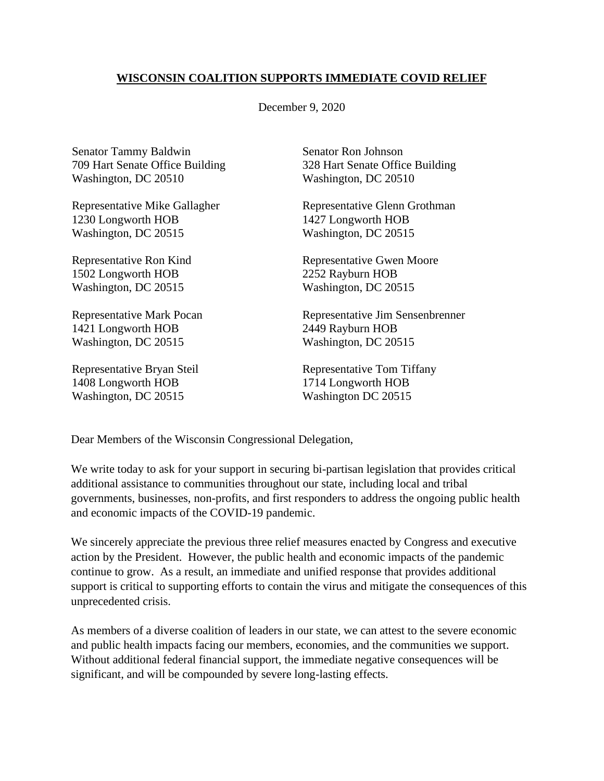## **WISCONSIN COALITION SUPPORTS IMMEDIATE COVID RELIEF**

December 9, 2020

Senator Tammy Baldwin 709 Hart Senate Office Building Washington, DC 20510

Representative Mike Gallagher 1230 Longworth HOB Washington, DC 20515

Representative Ron Kind 1502 Longworth HOB Washington, DC 20515

Representative Mark Pocan 1421 Longworth HOB Washington, DC 20515

Representative Bryan Steil 1408 Longworth HOB Washington, DC 20515

Senator Ron Johnson 328 Hart Senate Office Building Washington, DC 20510

Representative Glenn Grothman 1427 Longworth HOB Washington, DC 20515

Representative Gwen Moore 2252 Rayburn HOB Washington, DC 20515

Representative Jim Sensenbrenner 2449 Rayburn HOB Washington, DC 20515

Representative Tom Tiffany 1714 Longworth HOB Washington DC 20515

Dear Members of the Wisconsin Congressional Delegation,

We write today to ask for your support in securing bi-partisan legislation that provides critical additional assistance to communities throughout our state, including local and tribal governments, businesses, non-profits, and first responders to address the ongoing public health and economic impacts of the COVID-19 pandemic.

We sincerely appreciate the previous three relief measures enacted by Congress and executive action by the President. However, the public health and economic impacts of the pandemic continue to grow. As a result, an immediate and unified response that provides additional support is critical to supporting efforts to contain the virus and mitigate the consequences of this unprecedented crisis.

As members of a diverse coalition of leaders in our state, we can attest to the severe economic and public health impacts facing our members, economies, and the communities we support. Without additional federal financial support, the immediate negative consequences will be significant, and will be compounded by severe long-lasting effects.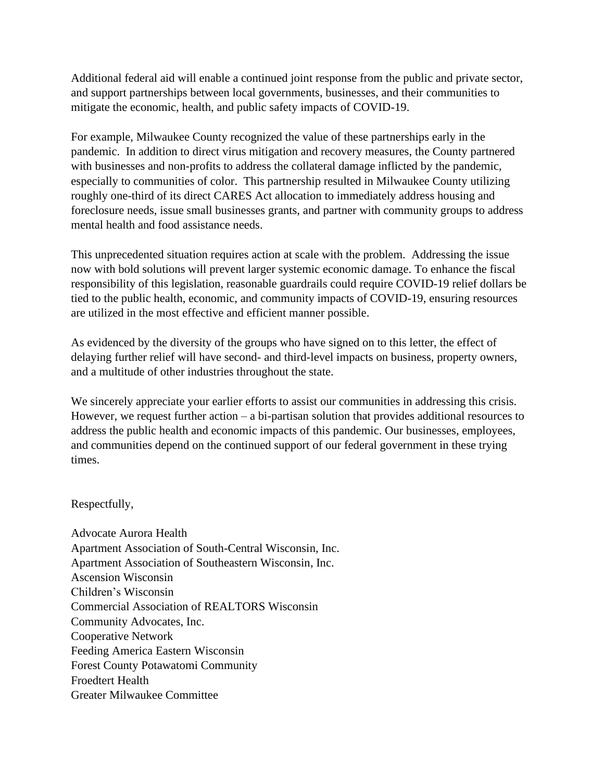Additional federal aid will enable a continued joint response from the public and private sector, and support partnerships between local governments, businesses, and their communities to mitigate the economic, health, and public safety impacts of COVID-19.

For example, Milwaukee County recognized the value of these partnerships early in the pandemic. In addition to direct virus mitigation and recovery measures, the County partnered with businesses and non-profits to address the collateral damage inflicted by the pandemic, especially to communities of color. This partnership resulted in Milwaukee County utilizing roughly one-third of its direct CARES Act allocation to immediately address housing and foreclosure needs, issue small businesses grants, and partner with community groups to address mental health and food assistance needs.

This unprecedented situation requires action at scale with the problem. Addressing the issue now with bold solutions will prevent larger systemic economic damage. To enhance the fiscal responsibility of this legislation, reasonable guardrails could require COVID-19 relief dollars be tied to the public health, economic, and community impacts of COVID-19, ensuring resources are utilized in the most effective and efficient manner possible.

As evidenced by the diversity of the groups who have signed on to this letter, the effect of delaying further relief will have second- and third-level impacts on business, property owners, and a multitude of other industries throughout the state.

We sincerely appreciate your earlier efforts to assist our communities in addressing this crisis. However, we request further action – a bi-partisan solution that provides additional resources to address the public health and economic impacts of this pandemic. Our businesses, employees, and communities depend on the continued support of our federal government in these trying times.

## Respectfully,

Advocate Aurora Health Apartment Association of South-Central Wisconsin, Inc. Apartment Association of Southeastern Wisconsin, Inc. Ascension Wisconsin Children's Wisconsin Commercial Association of REALTORS Wisconsin Community Advocates, Inc. Cooperative Network Feeding America Eastern Wisconsin Forest County Potawatomi Community Froedtert Health Greater Milwaukee Committee